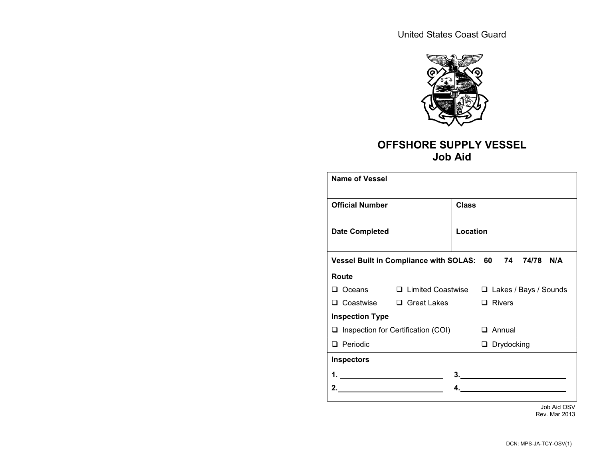

## **OFFSHORE SUPPLY VESSEL Job Aid**

| Name of Vessel         |                                                        |              |               |                   |                              |  |
|------------------------|--------------------------------------------------------|--------------|---------------|-------------------|------------------------------|--|
| <b>Official Number</b> |                                                        | <b>Class</b> |               |                   |                              |  |
| <b>Date Completed</b>  |                                                        | Location     |               |                   |                              |  |
|                        | Vessel Built in Compliance with SOLAS: 60 74 74/78 N/A |              |               |                   |                              |  |
| Route                  |                                                        |              |               |                   |                              |  |
|                        | □ Oceans □ Limited Coastwise                           |              |               |                   | $\Box$ Lakes / Bays / Sounds |  |
|                        | □ Coastwise □ Great Lakes                              |              | $\Box$ Rivers |                   |                              |  |
| <b>Inspection Type</b> |                                                        |              |               |                   |                              |  |
|                        | $\Box$ Inspection for Certification (COI)              |              |               | $\Box$ Annual     |                              |  |
| $\Box$ Periodic        |                                                        |              |               | $\Box$ Drydocking |                              |  |
| <b>Inspectors</b>      |                                                        |              |               |                   |                              |  |
|                        |                                                        |              |               |                   |                              |  |
|                        |                                                        |              |               |                   |                              |  |
|                        |                                                        |              |               |                   |                              |  |

Job Aid OSV Rev. Mar 2013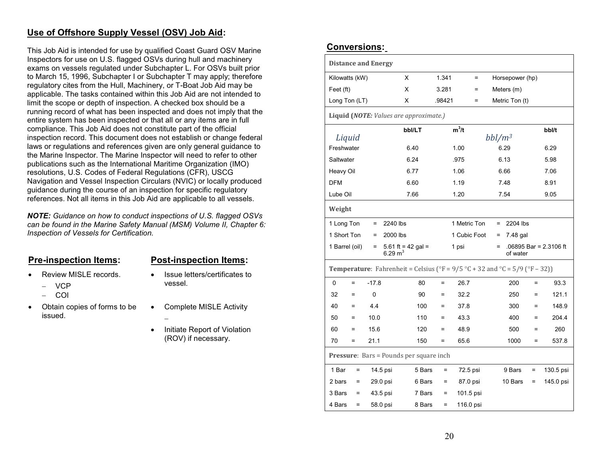### **Use of Offshore Supply Vessel (OSV) Job Aid:**

This Job Aid is intended for use by qualified Coast Guard OSV Marine Inspectors for use on U.S. flagged OSVs during hull and machinery exams on vessels regulated under Subchapter L. For OSVs built prior to March 15, 1996, Subchapter I or Subchapter T may apply; therefore regulatory cites from the Hull, Machinery, or T-Boat Job Aid may be applicable. The tasks contained within this Job Aid are not intended to limit the scope or depth of inspection. A checked box should be a running record of what has been inspected and does not imply that the entire system has been inspected or that all or any items are in full compliance. This Job Aid does not constitute part of the official inspection record. This document does not establish or change federal laws or regulations and references given are only general guidance to the Marine Inspector. The Marine Inspector will need to refer to other publications such as the International Maritime Organization (IMO) resolutions, U.S. Codes of Federal Regulations (CFR), USCG Navigation and Vessel Inspection Circulars (NVIC) or locally produced guidance during the course of an inspection for specific regulatory references. Not all items in this Job Aid are applicable to all vessels.

*NOTE: Guidance on how to conduct inspections of U.S. flagged OSVs can be found in the Marine Safety Manual (MSM) Volume II, Chapter 6: Inspection of Vessels for Certification.* 

#### **Pre-inspection Items: Post-inspection Items:**

- • Review MISLE records. • Issue letters/certificates to
	- VCP
	- COI
- •Obtain copies of forms to be • Complete MISLE Activity issued.
- vessel.
- - • Initiate Report of Violation (ROV) if necessary.

### **Conversions:**

| <b>Distance and Energy</b>                                                                                                           |              |                                 |        |        |              |          |                 |                 |     |                        |
|--------------------------------------------------------------------------------------------------------------------------------------|--------------|---------------------------------|--------|--------|--------------|----------|-----------------|-----------------|-----|------------------------|
| Kilowatts (kW)                                                                                                                       |              | X                               |        | 1.341  |              | $\equiv$ |                 | Horsepower (hp) |     |                        |
| Feet (ft)                                                                                                                            |              | X                               |        | 3.281  |              | $\equiv$ |                 | Meters (m)      |     |                        |
| Long Ton (LT)                                                                                                                        |              | X                               |        | .98421 |              | $\equiv$ |                 | Metric Ton (t)  |     |                        |
| Liquid (NOTE: Values are approximate.)                                                                                               |              |                                 |        |        |              |          |                 |                 |     |                        |
|                                                                                                                                      |              |                                 | bbl/LT |        | $m^3/t$      |          |                 |                 |     | bbl/t                  |
| Liquid<br>Freshwater                                                                                                                 |              |                                 | 6.40   |        | 1.00         |          | $bbl/m^3$       | 6.29            |     | 6.29                   |
| Saltwater                                                                                                                            |              |                                 | 6.24   |        | .975         |          |                 | 6.13            |     | 5.98                   |
| Heavy Oil                                                                                                                            |              |                                 | 6.77   |        | 1.06         |          |                 | 6.66            |     | 7.06                   |
| <b>DFM</b>                                                                                                                           |              |                                 | 6.60   |        | 1.19         |          |                 | 7.48            |     | 8.91                   |
| Lube Oil                                                                                                                             |              |                                 | 7.66   |        | 1.20         |          |                 | 7.54            |     | 9.05                   |
| Weight                                                                                                                               |              |                                 |        |        |              |          |                 |                 |     |                        |
| 1 Long Ton                                                                                                                           | $=$          | 2240 lbs                        |        |        | 1 Metric Ton |          | $=$             | 2204 lbs        |     |                        |
| 1 Short Ton                                                                                                                          | $\equiv$     | 2000 lbs                        |        |        | 1 Cubic Foot |          | $\quad \  \  =$ | 7.48 gal        |     |                        |
| 1 Barrel (oil)                                                                                                                       | $=$          | 5.61 ft = 42 gal =<br>6.29 $m3$ |        |        | 1 psi        |          | $=$             | of water        |     | .06895 Bar = 2.3106 ft |
| <b>Temperature:</b> Fahrenheit = Celsius ( ${}^{\circ}$ F = 9/5 ${}^{\circ}$ C + 32 and ${}^{\circ}$ C = 5/9 ( ${}^{\circ}$ F – 32)) |              |                                 |        |        |              |          |                 |                 |     |                        |
| $\Omega$<br>$=$                                                                                                                      | $-17.8$      |                                 | 80     | $=$    | 26.7         |          |                 | 200             | Ξ   | 93.3                   |
| 32<br>$\equiv$                                                                                                                       | $\mathbf{0}$ |                                 | 90     | =      | 32.2         |          |                 | 250             | $=$ | 121.1                  |
| 40<br>$=$                                                                                                                            | 4.4          |                                 | 100    | $=$    | 37.8         |          |                 | 300             | $=$ | 148.9                  |
| 50<br>$=$                                                                                                                            | 10.0         |                                 | 110    | $=$    | 43.3         |          |                 | 400             | $=$ | 204.4                  |
| 60<br>$=$                                                                                                                            | 15.6         |                                 | 120    | $=$    | 48.9         |          |                 | 500             | $=$ | 260                    |
| 70<br>$=$                                                                                                                            | 21.1         |                                 | 150    | $=$    | 65.6         |          |                 | 1000            | Ξ.  | 537.8                  |
| <b>Pressure:</b> Bars = Pounds per square inch                                                                                       |              |                                 |        |        |              |          |                 |                 |     |                        |
| 1 Bar<br>$\equiv$                                                                                                                    |              | 14.5 psi                        | 5 Bars | $=$    | 72.5 psi     |          |                 | 9 Bars          | $=$ | 130.5 psi              |
| 2 bars<br>$=$                                                                                                                        |              | 29.0 psi                        | 6 Bars | $=$    | 87.0 psi     |          |                 | 10 Bars         | $=$ | 145.0 psi              |
| 3 Bars<br>$=$                                                                                                                        |              | 43.5 psi                        | 7 Bars | $=$    | 101.5 psi    |          |                 |                 |     |                        |
| 4 Bars<br>$=$                                                                                                                        |              | 58.0 psi                        | 8 Bars | $=$    | 116.0 psi    |          |                 |                 |     |                        |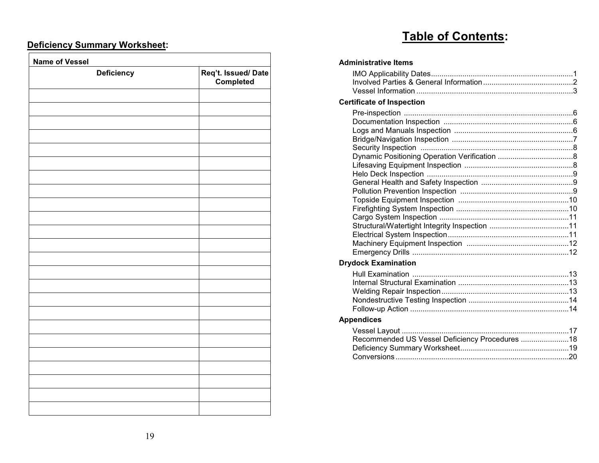## **Table of Contents:**

## **Deficiency Summary Worksheet:**

| Deficiency | Req't. Issued/Date<br>Completed |
|------------|---------------------------------|
|            |                                 |
|            |                                 |
|            |                                 |
|            |                                 |
|            |                                 |
|            |                                 |
|            |                                 |
|            |                                 |
|            |                                 |
|            |                                 |
|            |                                 |
|            |                                 |
|            |                                 |
|            |                                 |
|            |                                 |
|            |                                 |
|            |                                 |
|            |                                 |
|            |                                 |
|            |                                 |
|            |                                 |
|            |                                 |
|            |                                 |
|            |                                 |
|            |                                 |
|            |                                 |
|            |                                 |
|            |                                 |

#### **Administrative Items**

#### **Certificate of Inspection**

### **Drydock Examination**

### **Appendices**

| Recommended US Vessel Deficiency Procedures  18 |  |
|-------------------------------------------------|--|
|                                                 |  |
|                                                 |  |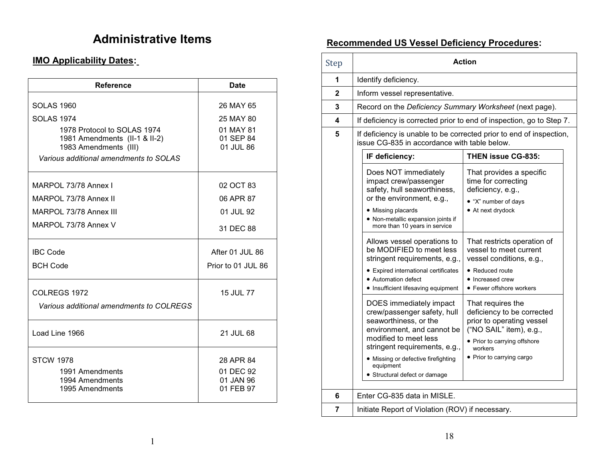## **IMO Applicability Dates:**

| <b>Reference</b>                                                | <b>Date</b>            |
|-----------------------------------------------------------------|------------------------|
| <b>SOLAS 1960</b>                                               | 26 MAY 65              |
| <b>SOLAS 1974</b>                                               | 25 MAY 80              |
| 1978 Protocol to SOLAS 1974                                     | 01 MAY 81              |
| 1981 Amendments (II-1 & II-2)                                   | 01 SEP 84<br>01 JUL 86 |
| 1983 Amendments (III)<br>Various additional amendments to SOLAS |                        |
|                                                                 |                        |
| MARPOL 73/78 Annex I                                            | 02 OCT 83              |
| MARPOL 73/78 Annex II                                           | 06 APR 87              |
| MARPOL 73/78 Annex III                                          | 01 JUL 92              |
| MARPOL 73/78 Annex V                                            | 31 DEC 88              |
| <b>IBC Code</b>                                                 | After 01 JUL 86        |
| <b>BCH Code</b>                                                 | Prior to 01 JUL 86     |
| COLREGS 1972                                                    | 15 JUL 77              |
| Various additional amendments to COLREGS                        |                        |
|                                                                 |                        |
| Load Line 1966                                                  | 21 JUL 68              |
|                                                                 |                        |
| <b>STCW 1978</b>                                                | 28 APR 84              |
| 1991 Amendments                                                 | 01 DEC 92              |
| 1994 Amendments<br>1995 Amendments                              | 01 JAN 96<br>01 FEB 97 |
|                                                                 |                        |

# Administrative Items **Recommended US Vessel Deficiency Procedures**:

| Step         | <b>Action</b>                                                                                                                                                                                                                                                                                                                                                                                                                                   |  |  |  |
|--------------|-------------------------------------------------------------------------------------------------------------------------------------------------------------------------------------------------------------------------------------------------------------------------------------------------------------------------------------------------------------------------------------------------------------------------------------------------|--|--|--|
| 1            | Identify deficiency.                                                                                                                                                                                                                                                                                                                                                                                                                            |  |  |  |
| $\mathbf{2}$ | Inform vessel representative.                                                                                                                                                                                                                                                                                                                                                                                                                   |  |  |  |
| 3            | Record on the Deficiency Summary Worksheet (next page).                                                                                                                                                                                                                                                                                                                                                                                         |  |  |  |
| 4            | If deficiency is corrected prior to end of inspection, go to Step 7.                                                                                                                                                                                                                                                                                                                                                                            |  |  |  |
| 5            | If deficiency is unable to be corrected prior to end of inspection,<br>issue CG-835 in accordance with table below.                                                                                                                                                                                                                                                                                                                             |  |  |  |
|              | <b>THEN issue CG-835:</b><br>IF deficiency:                                                                                                                                                                                                                                                                                                                                                                                                     |  |  |  |
|              | Does NOT immediately<br>That provides a specific<br>impact crew/passenger<br>time for correcting<br>safety, hull seaworthiness,<br>deficiency, e.g.,<br>or the environment, e.g.,<br>· "X" number of days<br>• At next drydock<br>• Missing placards<br>· Non-metallic expansion joints if<br>more than 10 years in service                                                                                                                     |  |  |  |
|              | Allows vessel operations to<br>That restricts operation of<br>be MODIFIED to meet less<br>vessel to meet current<br>stringent requirements, e.g.,<br>vessel conditions, e.g.,<br>• Expired international certificates<br>• Reduced route<br>• Automation defect<br>• Increased crew<br>• Insufficient lifesaving equipment<br>• Fewer offshore workers                                                                                          |  |  |  |
|              | DOES immediately impact<br>That requires the<br>crew/passenger safety, hull<br>deficiency to be corrected<br>seaworthiness, or the<br>prior to operating vessel<br>environment, and cannot be<br>("NO SAIL" item), e.g.,<br>modified to meet less<br>• Prior to carrying offshore<br>stringent requirements, e.g.,<br>workers<br>• Prior to carrying cargo<br>· Missing or defective firefighting<br>equipment<br>• Structural defect or damage |  |  |  |
| 6            | Enter CG-835 data in MISLE.                                                                                                                                                                                                                                                                                                                                                                                                                     |  |  |  |
| 7            | Initiate Report of Violation (ROV) if necessary.                                                                                                                                                                                                                                                                                                                                                                                                |  |  |  |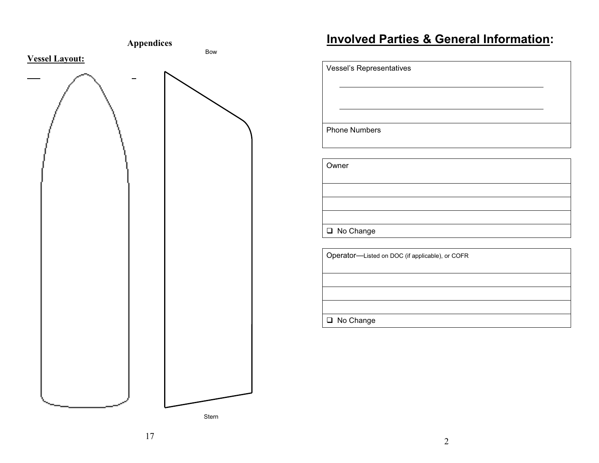

# **Appendices Involved Parties & General Information:**

| Vessel's Representatives                        |  |
|-------------------------------------------------|--|
|                                                 |  |
|                                                 |  |
|                                                 |  |
| <b>Phone Numbers</b>                            |  |
|                                                 |  |
| Owner                                           |  |
|                                                 |  |
|                                                 |  |
|                                                 |  |
| □ No Change                                     |  |
|                                                 |  |
| Operator-Listed on DOC (if applicable), or COFR |  |
|                                                 |  |
|                                                 |  |
|                                                 |  |
| □ No Change                                     |  |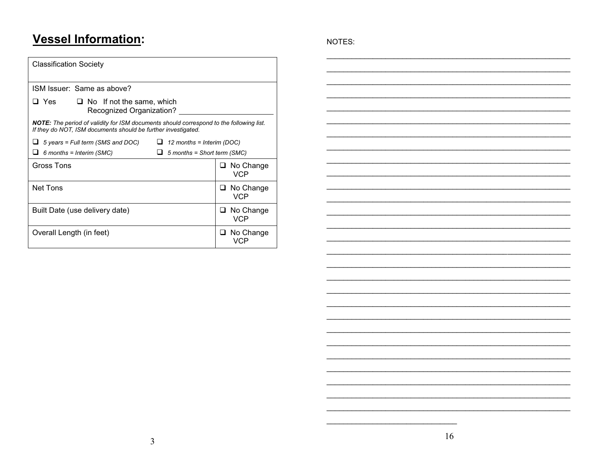# **Vessel Information:**

| <b>Classification Society</b>                                                                                                                                   |                             |                         |  |
|-----------------------------------------------------------------------------------------------------------------------------------------------------------------|-----------------------------|-------------------------|--|
| ISM Issuer: Same as above?                                                                                                                                      |                             |                         |  |
| $\square$ Yes $\square$<br>$\Box$ No If not the same, which<br>Recognized Organization?                                                                         |                             |                         |  |
| <b>NOTE:</b> The period of validity for ISM documents should correspond to the following list.<br>If they do NOT, ISM documents should be further investigated. |                             |                         |  |
| 5 years = Full term (SMS and DOC)                                                                                                                               | 12 months = Interim (DOC)   |                         |  |
| $6$ months = Interim (SMC)                                                                                                                                      | 5 months = Short term (SMC) |                         |  |
| Gross Tons                                                                                                                                                      |                             | $\Box$ No Change<br>VCP |  |
| Net Tons                                                                                                                                                        |                             | No Change<br>VCP        |  |
| Built Date (use delivery date)                                                                                                                                  | ப                           | No Change<br>VCP        |  |
| Overall Length (in feet)                                                                                                                                        | VCP                         | $\Box$ No Change        |  |

NOTES: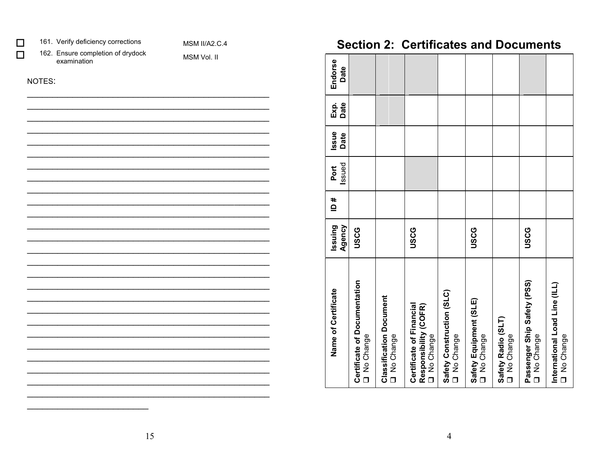|        | 161. Verify deficiency corrections               | <b>MSM II/A2.C.4</b> |
|--------|--------------------------------------------------|----------------------|
|        | 162. Ensure completion of drydock<br>examination | MSM Vol. II          |
| NOTES: |                                                  |                      |
|        |                                                  |                      |
|        |                                                  |                      |
|        |                                                  |                      |
|        |                                                  |                      |
|        |                                                  |                      |
|        |                                                  |                      |
|        |                                                  |                      |
|        |                                                  |                      |
|        |                                                  |                      |
|        |                                                  |                      |
|        |                                                  |                      |
|        |                                                  |                      |
|        |                                                  |                      |
|        |                                                  |                      |
|        |                                                  |                      |
|        |                                                  |                      |
|        |                                                  |                      |
|        |                                                  |                      |
|        |                                                  |                      |

# **Section 2: Certificates and Documents**

| Name of Certificate                                              | Agency<br>Issuing | # ם | Issued<br>Port | Issue<br>Date | Exp.<br>Date | Endorse<br>Date |
|------------------------------------------------------------------|-------------------|-----|----------------|---------------|--------------|-----------------|
| Certificate of Documentation<br>O No Change                      | USCG              |     |                |               |              |                 |
| <b>Classification Document</b><br>O No Change                    |                   |     |                |               |              |                 |
| Certificate of Financial<br>Responsibility (COFR)<br>O No Change | USCG              |     |                |               |              |                 |
| Safety Construction (SLC)<br>O No Change                         |                   |     |                |               |              |                 |
| Safety Equipment (SLE)<br>O No Change                            | USCG              |     |                |               |              |                 |
| Safety Radio (SLT)<br>O No Change                                |                   |     |                |               |              |                 |
| Passenger Ship Safety (PSS)<br>O No Change                       | USCG              |     |                |               |              |                 |
| International Load Line (ILL)<br>O No Change                     |                   |     |                |               |              |                 |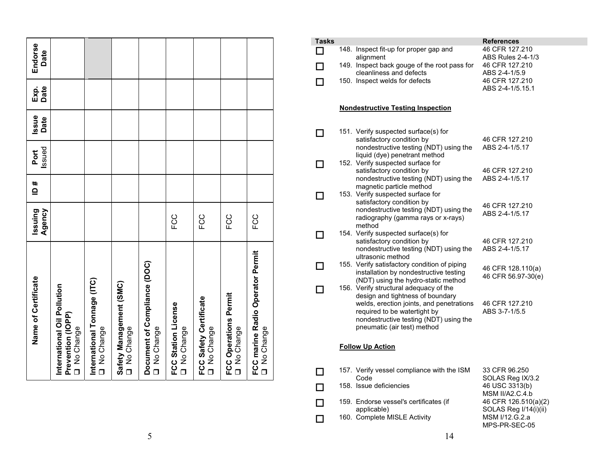| Name of Certificate                                             | Agency<br>Issuing | # Ql | Issued<br>Port | Issue<br>Date | Date<br>Exp. | Endorse<br>Date |
|-----------------------------------------------------------------|-------------------|------|----------------|---------------|--------------|-----------------|
| International Oil Pollution<br>Prevention (IOPP)<br>O No Change |                   |      |                |               |              |                 |
| International Tonnage (ITC)<br>No Change                        |                   |      |                |               |              |                 |
| Safety Management (SMC)<br>O No Change                          |                   |      |                |               |              |                 |
| Document of Compliance (DOC)<br>O No Change                     |                   |      |                |               |              |                 |
| <b>FCC Station License</b><br>O No Change                       | FCC               |      |                |               |              |                 |
| FCC Safety Certificate<br>O No Change                           | CC<br>FC          |      |                |               |              |                 |
| <b>FCC Operations Permit</b><br>O No Change                     | FCC               |      |                |               |              |                 |
| FCC marine Radio Operator Permit<br>O No Change                 | FCC               |      |                |               |              |                 |

| <b>Tasks</b> |                                                                                                                                                                                                                                 | References                                                                                          |
|--------------|---------------------------------------------------------------------------------------------------------------------------------------------------------------------------------------------------------------------------------|-----------------------------------------------------------------------------------------------------|
|              | 148. Inspect fit-up for proper gap and<br>alignment<br>149. Inspect back gouge of the root pass for                                                                                                                             | 46 CFR 127.210<br><b>ABS Rules 2-4-1/3</b><br>46 CFR 127.210                                        |
|              | cleanliness and defects<br>150. Inspect welds for defects                                                                                                                                                                       | ABS 2-4-1/5.9<br>46 CFR 127.210<br>ABS 2-4-1/5.15.1                                                 |
|              | <b>Nondestructive Testing Inspection</b>                                                                                                                                                                                        |                                                                                                     |
| ΙI           | 151. Verify suspected surface(s) for<br>satisfactory condition by<br>nondestructive testing (NDT) using the                                                                                                                     | 46 CFR 127.210<br>ABS 2-4-1/5.17                                                                    |
|              | liquid (dye) penetrant method<br>152. Verify suspected surface for<br>satisfactory condition by                                                                                                                                 | 46 CFR 127.210                                                                                      |
|              | nondestructive testing (NDT) using the<br>magnetic particle method<br>153. Verify suspected surface for<br>satisfactory condition by                                                                                            | ABS 2-4-1/5.17<br>46 CFR 127.210                                                                    |
|              | nondestructive testing (NDT) using the<br>radiography (gamma rays or x-rays)<br>method<br>154. Verify suspected surface(s) for                                                                                                  | ABS 2-4-1/5.17                                                                                      |
|              | satisfactory condition by<br>nondestructive testing (NDT) using the<br>ultrasonic method                                                                                                                                        | 46 CFR 127.210<br>ABS 2-4-1/5.17                                                                    |
|              | 155. Verify satisfactory condition of piping<br>installation by nondestructive testing<br>(NDT) using the hydro-static method                                                                                                   | 46 CFR 128.110(a)<br>46 CFR 56.97-30(e)                                                             |
|              | 156. Verify structural adequacy of the<br>design and tightness of boundary<br>welds, erection joints, and penetrations<br>required to be watertight by<br>nondestructive testing (NDT) using the<br>pneumatic (air test) method | 46 CFR 127.210<br>ABS 3-7-1/5.5                                                                     |
|              | <b>Follow Up Action</b>                                                                                                                                                                                                         |                                                                                                     |
|              | 157. Verify vessel compliance with the ISM<br>Code<br>158. Issue deficiencies                                                                                                                                                   | 33 CFR 96.250<br>SOLAS Reg IX/3.2<br>46 USC 3313(b)                                                 |
| ΙI           | 159. Endorse vessel's certificates (if<br>applicable)<br>160. Complete MISLE Activity                                                                                                                                           | MSM II/A2.C.4.b<br>46 CFR 126.510(a)(2)<br>SOLAS Reg I/14(i)(ii)<br>MSM I/12.G.2.a<br>MPS-PR-SEC-05 |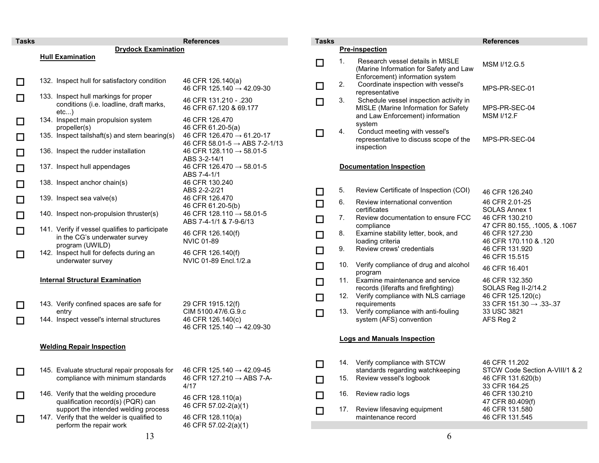<span id="page-8-0"></span>

| <b>Tasks</b> |                                                                                         | <b>References</b>                                                                  | <b>Tasks</b> |     |                                                                                          | <b>References</b>                                                        |
|--------------|-----------------------------------------------------------------------------------------|------------------------------------------------------------------------------------|--------------|-----|------------------------------------------------------------------------------------------|--------------------------------------------------------------------------|
|              | <b>Drydock Examination</b>                                                              |                                                                                    |              |     | <b>Pre-inspection</b>                                                                    |                                                                          |
|              | <b>Hull Examination</b>                                                                 |                                                                                    | $\Box$       | 1.  | Research vessel details in MISLE<br>(Marine Information for Safety and Law               | MSM I/12.G.5                                                             |
| □            | 132. Inspect hull for satisfactory condition                                            | 46 CFR 126.140(a)<br>46 CFR 125.140 $\rightarrow$ 42.09-30                         | □            | 2.  | Enforcement) information system<br>Coordinate inspection with vessel's<br>representative | MPS-PR-SEC-01                                                            |
| □            | 133. Inspect hull markings for proper<br>conditions (i.e. loadline, draft marks,<br>etc | 46 CFR 131.210 - .230<br>46 CFR 67.120 & 69.177                                    | $\Box$       | 3.  | Schedule vessel inspection activity in<br>MISLE (Marine Information for Safety           | MPS-PR-SEC-04                                                            |
| □            | 134. Inspect main propulsion system<br>propeller(s)                                     | 46 CFR 126.470<br>46 CFR 61.20-5(a)                                                |              |     | and Law Enforcement) information<br>system                                               | <b>MSM I/12.F</b>                                                        |
| □            | 135. Inspect tailshaft(s) and stern bearing(s)                                          | 46 CFR 126.470 $\rightarrow$ 61.20-17<br>46 CFR 58.01-5 $\rightarrow$ ABS 7-2-1/13 | $\Box$       | 4.  | Conduct meeting with vessel's<br>representative to discuss scope of the                  | MPS-PR-SEC-04                                                            |
| □            | 136. Inspect the rudder installation                                                    | 46 CFR 128.110 $\rightarrow$ 58.01-5<br>ABS 3-2-14/1                               |              |     | inspection                                                                               |                                                                          |
| □            | 137. Inspect hull appendages                                                            | 46 CFR 126.470 $\rightarrow$ 58.01-5<br>ABS 7-4-1/1                                |              |     | <b>Documentation Inspection</b>                                                          |                                                                          |
| $\Box$       | 138. Inspect anchor chain(s)                                                            | 46 CFR 130.240<br>ABS 2-2-2/21                                                     | $\Box$       | 5.  | Review Certificate of Inspection (COI)                                                   | 46 CFR 126.240                                                           |
| □            | 139. Inspect sea valve(s)                                                               | 46 CFR 126.470<br>46 CFR 61.20-5(b)                                                | $\Box$       | 6.  | Review international convention                                                          | 46 CFR 2.01-25                                                           |
| $\Box$       | 140. Inspect non-propulsion thruster(s)                                                 | 46 CFR 128.110 $\rightarrow$ 58.01-5<br>ABS 7-4-1/1 & 7-9-6/13                     | $\Box$       | 7.  | certificates<br>Review documentation to ensure FCC                                       | SOLAS Annex 1<br>46 CFR 130.210                                          |
| $\Box$       | 141. Verify if vessel qualifies to participate<br>in the CG's underwater survey         | 46 CFR 126.140(f)<br><b>NVIC 01-89</b>                                             | $\Box$       | 8.  | compliance<br>Examine stability letter, book, and<br>loading criteria                    | 47 CFR 80.155, .1005, & .1067<br>46 CFR 127.230<br>46 CFR 170.110 & .120 |
| □            | program (UWILD)<br>142. Inspect hull for defects during an                              | 46 CFR 126.140(f)                                                                  | $\Box$       | 9.  | Review crews' credentials                                                                | 46 CFR 131.920<br>46 CFR 15.515                                          |
|              | underwater survey                                                                       | NVIC 01-89 Encl.1/2.a                                                              | $\Box$       | 10. | Verify compliance of drug and alcohol<br>program                                         | 46 CFR 16.401                                                            |
|              | <b>Internal Structural Examination</b>                                                  |                                                                                    | $\Box$       |     | 11. Examine maintenance and service<br>records (liferafts and firefighting)              | 46 CFR 132.350<br>SOLAS Reg II-2/14.2                                    |
| □            | 143. Verify confined spaces are safe for                                                | 29 CFR 1915.12(f)                                                                  | $\Box$       |     | 12. Verify compliance with NLS carriage<br>requirements                                  | 46 CFR 125.120(c)<br>33 CFR 151.30 $\rightarrow$ .33-.37                 |
| □            | entry<br>144. Inspect vessel's internal structures                                      | CIM 5100.47/6.G.9.c<br>46 CFR 126.140(c)                                           | $\Box$       | 13. | Verify compliance with anti-fouling<br>system (AFS) convention                           | 33 USC 3821<br>AFS Reg 2                                                 |
|              |                                                                                         | 46 CFR 125.140 $\rightarrow$ 42.09-30                                              |              |     |                                                                                          |                                                                          |
|              | <b>Welding Repair Inspection</b>                                                        |                                                                                    |              |     | <b>Logs and Manuals Inspection</b>                                                       |                                                                          |
|              | 145. Evaluate structural repair proposals for 46 CFR 125.140 → 42.09-45                 |                                                                                    | $\Box$       |     | 14. Verify compliance with STCW<br>standards regarding watchkeeping                      | 46 CFR 11.202<br>STCW Code Section A-VIII/1 & 2                          |
|              | compliance with minimum standards                                                       | 46 CFR 127.210 $\rightarrow$ ABS 7-A-<br>4/17                                      | □            | 15. | Review vessel's logbook                                                                  | 46 CFR 131.620(b)<br>33 CFR 164.25                                       |
| $\Box$       | 146. Verify that the welding procedure<br>qualification record(s) (PQR) can             | 46 CFR 128.110(a)                                                                  | □            | 16. | Review radio logs                                                                        | 46 CFR 130.210<br>47 CFR 80.409(f)                                       |
| □            | support the intended welding process<br>147. Verify that the welder is qualified to     | 46 CFR 57.02-2(a)(1)<br>46 CFR 128.110(a)                                          | $\Box$       | 17. | Review lifesaving equipment<br>maintenance record                                        | 46 CFR 131.580<br>46 CFR 131.545                                         |
|              | perform the repair work<br>12                                                           | 46 CFR 57.02-2(a)(1)                                                               |              |     |                                                                                          |                                                                          |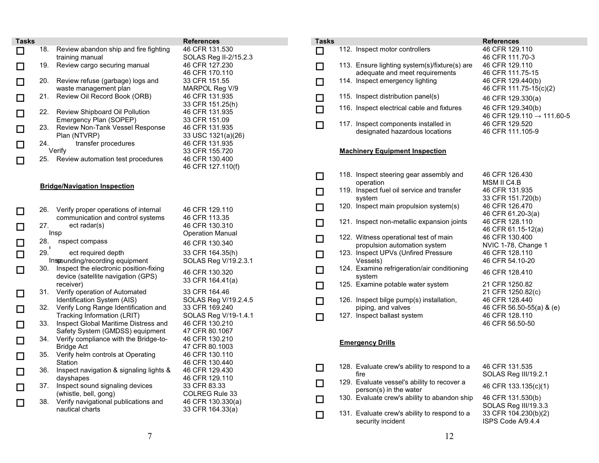<span id="page-9-0"></span>

| 18.<br>Review abandon ship and fire fighting<br>46 CFR 131.530<br>SOLAS Reg II-2/15.2.3<br>training manual<br>19.<br>Review cargo securing manual<br>46 CFR 127.230<br>46 CFR 170.110<br>20.<br>33 CFR 151.55<br>Review refuse (garbage) logs and<br>waste management plan<br>MARPOL Reg V/9<br>21.<br>Review Oil Record Book (ORB)<br>46 CFR 131.935<br>33 CFR 151.25(h)<br>22.<br>Review Shipboard Oil Pollution<br>46 CFR 131.935<br>Emergency Plan (SOPEP)<br>33 CFR 151.09<br>23.<br>Review Non-Tank Vessel Response<br>46 CFR 131.935<br>33 USC 1321(a)(26)<br>Plan (NTVRP)<br>46 CFR 131.935<br>24.<br>transfer procedures<br>Verify<br>33 CFR 155.720<br>46 CFR 130.400<br>25.<br>Review automation test procedures<br>46 CFR 127.110(f)<br><b>Bridge/Navigation Inspection</b><br>Verify proper operations of internal<br>46 CFR 129.110<br>26.<br>communication and control systems<br>46 CFR 113.35<br>27.<br>ect radar(s)<br>46 CFR 130.310<br>Insp<br><b>Operation Manual</b><br>28.<br>nspect compass<br>46 CFR 130.340<br>29.<br>ect required depth<br>33 CFR 164.35(h)<br>SOLAS Reg V/19.2.3.1<br>Inspounding/recording equipment<br>30.<br>Inspect the electronic position-fixing<br>46 CFR 130.320<br>device (satellite navigation (GPS)<br>33 CFR 164.41(a)<br>receiver)<br>31.<br>Verify operation of Automated<br>33 CFR 164.46<br>Identification System (AIS)<br>SOLAS Reg V/19.2.4.5<br>32.<br>Verify Long Range Identification and<br>33 CFR 169.240<br>Tracking Information (LRIT)<br>SOLAS Reg V/19-1.4.1<br>33.<br>Inspect Global Maritime Distress and<br>46 CFR 130.210<br>Safety System (GMDSS) equipment<br>47 CFR 80.1067<br>34.<br>Verify compliance with the Bridge-to-<br>46 CFR 130.210<br>47 CFR 80.1003<br>Bridge Act<br>Verify helm controls at Operating<br>46 CFR 130.110<br>35.<br>Station<br>46 CFR 130.440<br>36.<br>Inspect navigation & signaling lights &<br>46 CFR 129.430<br>dayshapes<br>46 CFR 129.110<br>37.<br>Inspect sound signaling devices<br>33 CFR 83.33<br>(whistle, bell, gong)<br>COLREG Rule 33<br>38.<br>Verify navigational publications and<br>46 CFR 130.330(a) | <b>Tasks</b> |  | <b>References</b> |
|------------------------------------------------------------------------------------------------------------------------------------------------------------------------------------------------------------------------------------------------------------------------------------------------------------------------------------------------------------------------------------------------------------------------------------------------------------------------------------------------------------------------------------------------------------------------------------------------------------------------------------------------------------------------------------------------------------------------------------------------------------------------------------------------------------------------------------------------------------------------------------------------------------------------------------------------------------------------------------------------------------------------------------------------------------------------------------------------------------------------------------------------------------------------------------------------------------------------------------------------------------------------------------------------------------------------------------------------------------------------------------------------------------------------------------------------------------------------------------------------------------------------------------------------------------------------------------------------------------------------------------------------------------------------------------------------------------------------------------------------------------------------------------------------------------------------------------------------------------------------------------------------------------------------------------------------------------------------------------------------------------------------------------------------------------------------------------------------------------------------------------|--------------|--|-------------------|
|                                                                                                                                                                                                                                                                                                                                                                                                                                                                                                                                                                                                                                                                                                                                                                                                                                                                                                                                                                                                                                                                                                                                                                                                                                                                                                                                                                                                                                                                                                                                                                                                                                                                                                                                                                                                                                                                                                                                                                                                                                                                                                                                    |              |  |                   |
|                                                                                                                                                                                                                                                                                                                                                                                                                                                                                                                                                                                                                                                                                                                                                                                                                                                                                                                                                                                                                                                                                                                                                                                                                                                                                                                                                                                                                                                                                                                                                                                                                                                                                                                                                                                                                                                                                                                                                                                                                                                                                                                                    |              |  |                   |
|                                                                                                                                                                                                                                                                                                                                                                                                                                                                                                                                                                                                                                                                                                                                                                                                                                                                                                                                                                                                                                                                                                                                                                                                                                                                                                                                                                                                                                                                                                                                                                                                                                                                                                                                                                                                                                                                                                                                                                                                                                                                                                                                    |              |  |                   |
|                                                                                                                                                                                                                                                                                                                                                                                                                                                                                                                                                                                                                                                                                                                                                                                                                                                                                                                                                                                                                                                                                                                                                                                                                                                                                                                                                                                                                                                                                                                                                                                                                                                                                                                                                                                                                                                                                                                                                                                                                                                                                                                                    |              |  |                   |
|                                                                                                                                                                                                                                                                                                                                                                                                                                                                                                                                                                                                                                                                                                                                                                                                                                                                                                                                                                                                                                                                                                                                                                                                                                                                                                                                                                                                                                                                                                                                                                                                                                                                                                                                                                                                                                                                                                                                                                                                                                                                                                                                    |              |  |                   |
|                                                                                                                                                                                                                                                                                                                                                                                                                                                                                                                                                                                                                                                                                                                                                                                                                                                                                                                                                                                                                                                                                                                                                                                                                                                                                                                                                                                                                                                                                                                                                                                                                                                                                                                                                                                                                                                                                                                                                                                                                                                                                                                                    |              |  |                   |
|                                                                                                                                                                                                                                                                                                                                                                                                                                                                                                                                                                                                                                                                                                                                                                                                                                                                                                                                                                                                                                                                                                                                                                                                                                                                                                                                                                                                                                                                                                                                                                                                                                                                                                                                                                                                                                                                                                                                                                                                                                                                                                                                    |              |  |                   |
|                                                                                                                                                                                                                                                                                                                                                                                                                                                                                                                                                                                                                                                                                                                                                                                                                                                                                                                                                                                                                                                                                                                                                                                                                                                                                                                                                                                                                                                                                                                                                                                                                                                                                                                                                                                                                                                                                                                                                                                                                                                                                                                                    |              |  |                   |
|                                                                                                                                                                                                                                                                                                                                                                                                                                                                                                                                                                                                                                                                                                                                                                                                                                                                                                                                                                                                                                                                                                                                                                                                                                                                                                                                                                                                                                                                                                                                                                                                                                                                                                                                                                                                                                                                                                                                                                                                                                                                                                                                    |              |  |                   |
|                                                                                                                                                                                                                                                                                                                                                                                                                                                                                                                                                                                                                                                                                                                                                                                                                                                                                                                                                                                                                                                                                                                                                                                                                                                                                                                                                                                                                                                                                                                                                                                                                                                                                                                                                                                                                                                                                                                                                                                                                                                                                                                                    |              |  |                   |
|                                                                                                                                                                                                                                                                                                                                                                                                                                                                                                                                                                                                                                                                                                                                                                                                                                                                                                                                                                                                                                                                                                                                                                                                                                                                                                                                                                                                                                                                                                                                                                                                                                                                                                                                                                                                                                                                                                                                                                                                                                                                                                                                    |              |  |                   |
|                                                                                                                                                                                                                                                                                                                                                                                                                                                                                                                                                                                                                                                                                                                                                                                                                                                                                                                                                                                                                                                                                                                                                                                                                                                                                                                                                                                                                                                                                                                                                                                                                                                                                                                                                                                                                                                                                                                                                                                                                                                                                                                                    |              |  |                   |
|                                                                                                                                                                                                                                                                                                                                                                                                                                                                                                                                                                                                                                                                                                                                                                                                                                                                                                                                                                                                                                                                                                                                                                                                                                                                                                                                                                                                                                                                                                                                                                                                                                                                                                                                                                                                                                                                                                                                                                                                                                                                                                                                    |              |  |                   |
|                                                                                                                                                                                                                                                                                                                                                                                                                                                                                                                                                                                                                                                                                                                                                                                                                                                                                                                                                                                                                                                                                                                                                                                                                                                                                                                                                                                                                                                                                                                                                                                                                                                                                                                                                                                                                                                                                                                                                                                                                                                                                                                                    |              |  |                   |
|                                                                                                                                                                                                                                                                                                                                                                                                                                                                                                                                                                                                                                                                                                                                                                                                                                                                                                                                                                                                                                                                                                                                                                                                                                                                                                                                                                                                                                                                                                                                                                                                                                                                                                                                                                                                                                                                                                                                                                                                                                                                                                                                    |              |  |                   |
|                                                                                                                                                                                                                                                                                                                                                                                                                                                                                                                                                                                                                                                                                                                                                                                                                                                                                                                                                                                                                                                                                                                                                                                                                                                                                                                                                                                                                                                                                                                                                                                                                                                                                                                                                                                                                                                                                                                                                                                                                                                                                                                                    |              |  |                   |
|                                                                                                                                                                                                                                                                                                                                                                                                                                                                                                                                                                                                                                                                                                                                                                                                                                                                                                                                                                                                                                                                                                                                                                                                                                                                                                                                                                                                                                                                                                                                                                                                                                                                                                                                                                                                                                                                                                                                                                                                                                                                                                                                    |              |  |                   |
|                                                                                                                                                                                                                                                                                                                                                                                                                                                                                                                                                                                                                                                                                                                                                                                                                                                                                                                                                                                                                                                                                                                                                                                                                                                                                                                                                                                                                                                                                                                                                                                                                                                                                                                                                                                                                                                                                                                                                                                                                                                                                                                                    |              |  |                   |
|                                                                                                                                                                                                                                                                                                                                                                                                                                                                                                                                                                                                                                                                                                                                                                                                                                                                                                                                                                                                                                                                                                                                                                                                                                                                                                                                                                                                                                                                                                                                                                                                                                                                                                                                                                                                                                                                                                                                                                                                                                                                                                                                    |              |  |                   |
|                                                                                                                                                                                                                                                                                                                                                                                                                                                                                                                                                                                                                                                                                                                                                                                                                                                                                                                                                                                                                                                                                                                                                                                                                                                                                                                                                                                                                                                                                                                                                                                                                                                                                                                                                                                                                                                                                                                                                                                                                                                                                                                                    |              |  |                   |
|                                                                                                                                                                                                                                                                                                                                                                                                                                                                                                                                                                                                                                                                                                                                                                                                                                                                                                                                                                                                                                                                                                                                                                                                                                                                                                                                                                                                                                                                                                                                                                                                                                                                                                                                                                                                                                                                                                                                                                                                                                                                                                                                    |              |  |                   |
|                                                                                                                                                                                                                                                                                                                                                                                                                                                                                                                                                                                                                                                                                                                                                                                                                                                                                                                                                                                                                                                                                                                                                                                                                                                                                                                                                                                                                                                                                                                                                                                                                                                                                                                                                                                                                                                                                                                                                                                                                                                                                                                                    |              |  |                   |
|                                                                                                                                                                                                                                                                                                                                                                                                                                                                                                                                                                                                                                                                                                                                                                                                                                                                                                                                                                                                                                                                                                                                                                                                                                                                                                                                                                                                                                                                                                                                                                                                                                                                                                                                                                                                                                                                                                                                                                                                                                                                                                                                    |              |  |                   |
|                                                                                                                                                                                                                                                                                                                                                                                                                                                                                                                                                                                                                                                                                                                                                                                                                                                                                                                                                                                                                                                                                                                                                                                                                                                                                                                                                                                                                                                                                                                                                                                                                                                                                                                                                                                                                                                                                                                                                                                                                                                                                                                                    |              |  |                   |
|                                                                                                                                                                                                                                                                                                                                                                                                                                                                                                                                                                                                                                                                                                                                                                                                                                                                                                                                                                                                                                                                                                                                                                                                                                                                                                                                                                                                                                                                                                                                                                                                                                                                                                                                                                                                                                                                                                                                                                                                                                                                                                                                    |              |  |                   |
|                                                                                                                                                                                                                                                                                                                                                                                                                                                                                                                                                                                                                                                                                                                                                                                                                                                                                                                                                                                                                                                                                                                                                                                                                                                                                                                                                                                                                                                                                                                                                                                                                                                                                                                                                                                                                                                                                                                                                                                                                                                                                                                                    |              |  |                   |
|                                                                                                                                                                                                                                                                                                                                                                                                                                                                                                                                                                                                                                                                                                                                                                                                                                                                                                                                                                                                                                                                                                                                                                                                                                                                                                                                                                                                                                                                                                                                                                                                                                                                                                                                                                                                                                                                                                                                                                                                                                                                                                                                    |              |  |                   |
|                                                                                                                                                                                                                                                                                                                                                                                                                                                                                                                                                                                                                                                                                                                                                                                                                                                                                                                                                                                                                                                                                                                                                                                                                                                                                                                                                                                                                                                                                                                                                                                                                                                                                                                                                                                                                                                                                                                                                                                                                                                                                                                                    |              |  |                   |
|                                                                                                                                                                                                                                                                                                                                                                                                                                                                                                                                                                                                                                                                                                                                                                                                                                                                                                                                                                                                                                                                                                                                                                                                                                                                                                                                                                                                                                                                                                                                                                                                                                                                                                                                                                                                                                                                                                                                                                                                                                                                                                                                    |              |  |                   |
|                                                                                                                                                                                                                                                                                                                                                                                                                                                                                                                                                                                                                                                                                                                                                                                                                                                                                                                                                                                                                                                                                                                                                                                                                                                                                                                                                                                                                                                                                                                                                                                                                                                                                                                                                                                                                                                                                                                                                                                                                                                                                                                                    |              |  |                   |
|                                                                                                                                                                                                                                                                                                                                                                                                                                                                                                                                                                                                                                                                                                                                                                                                                                                                                                                                                                                                                                                                                                                                                                                                                                                                                                                                                                                                                                                                                                                                                                                                                                                                                                                                                                                                                                                                                                                                                                                                                                                                                                                                    |              |  |                   |
|                                                                                                                                                                                                                                                                                                                                                                                                                                                                                                                                                                                                                                                                                                                                                                                                                                                                                                                                                                                                                                                                                                                                                                                                                                                                                                                                                                                                                                                                                                                                                                                                                                                                                                                                                                                                                                                                                                                                                                                                                                                                                                                                    |              |  |                   |
|                                                                                                                                                                                                                                                                                                                                                                                                                                                                                                                                                                                                                                                                                                                                                                                                                                                                                                                                                                                                                                                                                                                                                                                                                                                                                                                                                                                                                                                                                                                                                                                                                                                                                                                                                                                                                                                                                                                                                                                                                                                                                                                                    |              |  |                   |
|                                                                                                                                                                                                                                                                                                                                                                                                                                                                                                                                                                                                                                                                                                                                                                                                                                                                                                                                                                                                                                                                                                                                                                                                                                                                                                                                                                                                                                                                                                                                                                                                                                                                                                                                                                                                                                                                                                                                                                                                                                                                                                                                    |              |  |                   |
|                                                                                                                                                                                                                                                                                                                                                                                                                                                                                                                                                                                                                                                                                                                                                                                                                                                                                                                                                                                                                                                                                                                                                                                                                                                                                                                                                                                                                                                                                                                                                                                                                                                                                                                                                                                                                                                                                                                                                                                                                                                                                                                                    |              |  |                   |
|                                                                                                                                                                                                                                                                                                                                                                                                                                                                                                                                                                                                                                                                                                                                                                                                                                                                                                                                                                                                                                                                                                                                                                                                                                                                                                                                                                                                                                                                                                                                                                                                                                                                                                                                                                                                                                                                                                                                                                                                                                                                                                                                    |              |  |                   |
|                                                                                                                                                                                                                                                                                                                                                                                                                                                                                                                                                                                                                                                                                                                                                                                                                                                                                                                                                                                                                                                                                                                                                                                                                                                                                                                                                                                                                                                                                                                                                                                                                                                                                                                                                                                                                                                                                                                                                                                                                                                                                                                                    |              |  |                   |
|                                                                                                                                                                                                                                                                                                                                                                                                                                                                                                                                                                                                                                                                                                                                                                                                                                                                                                                                                                                                                                                                                                                                                                                                                                                                                                                                                                                                                                                                                                                                                                                                                                                                                                                                                                                                                                                                                                                                                                                                                                                                                                                                    |              |  |                   |
|                                                                                                                                                                                                                                                                                                                                                                                                                                                                                                                                                                                                                                                                                                                                                                                                                                                                                                                                                                                                                                                                                                                                                                                                                                                                                                                                                                                                                                                                                                                                                                                                                                                                                                                                                                                                                                                                                                                                                                                                                                                                                                                                    |              |  |                   |
|                                                                                                                                                                                                                                                                                                                                                                                                                                                                                                                                                                                                                                                                                                                                                                                                                                                                                                                                                                                                                                                                                                                                                                                                                                                                                                                                                                                                                                                                                                                                                                                                                                                                                                                                                                                                                                                                                                                                                                                                                                                                                                                                    |              |  |                   |
|                                                                                                                                                                                                                                                                                                                                                                                                                                                                                                                                                                                                                                                                                                                                                                                                                                                                                                                                                                                                                                                                                                                                                                                                                                                                                                                                                                                                                                                                                                                                                                                                                                                                                                                                                                                                                                                                                                                                                                                                                                                                                                                                    |              |  |                   |
|                                                                                                                                                                                                                                                                                                                                                                                                                                                                                                                                                                                                                                                                                                                                                                                                                                                                                                                                                                                                                                                                                                                                                                                                                                                                                                                                                                                                                                                                                                                                                                                                                                                                                                                                                                                                                                                                                                                                                                                                                                                                                                                                    |              |  |                   |
|                                                                                                                                                                                                                                                                                                                                                                                                                                                                                                                                                                                                                                                                                                                                                                                                                                                                                                                                                                                                                                                                                                                                                                                                                                                                                                                                                                                                                                                                                                                                                                                                                                                                                                                                                                                                                                                                                                                                                                                                                                                                                                                                    |              |  |                   |
|                                                                                                                                                                                                                                                                                                                                                                                                                                                                                                                                                                                                                                                                                                                                                                                                                                                                                                                                                                                                                                                                                                                                                                                                                                                                                                                                                                                                                                                                                                                                                                                                                                                                                                                                                                                                                                                                                                                                                                                                                                                                                                                                    |              |  |                   |
|                                                                                                                                                                                                                                                                                                                                                                                                                                                                                                                                                                                                                                                                                                                                                                                                                                                                                                                                                                                                                                                                                                                                                                                                                                                                                                                                                                                                                                                                                                                                                                                                                                                                                                                                                                                                                                                                                                                                                                                                                                                                                                                                    |              |  |                   |
| 33 CFR 164.33(a)<br>nautical charts                                                                                                                                                                                                                                                                                                                                                                                                                                                                                                                                                                                                                                                                                                                                                                                                                                                                                                                                                                                                                                                                                                                                                                                                                                                                                                                                                                                                                                                                                                                                                                                                                                                                                                                                                                                                                                                                                                                                                                                                                                                                                                |              |  |                   |

| Tasks |                                                                        | <b>References</b>                                       |
|-------|------------------------------------------------------------------------|---------------------------------------------------------|
| ΙI    | 112. Inspect motor controllers                                         | 46 CFR 129.110<br>46 CFR 111.70-3                       |
|       | 113. Ensure lighting system(s)/fixture(s) are                          | 46 CFR 129.110                                          |
|       | adequate and meet requirements                                         | 46 CFR 111.75-15                                        |
|       | 114. Inspect emergency lighting                                        | 46 CFR 129.440(b)<br>46 CFR 111.75-15(c)(2)             |
|       | 115. Inspect distribution panel(s)                                     | 46 CFR 129.330(a)                                       |
|       | 116. Inspect electrical cable and fixtures                             | 46 CFR 129.340(b)                                       |
|       |                                                                        | 46 CFR 129.110 $\rightarrow$ 111.60-5<br>46 CFR 129.520 |
|       | 117. Inspect components installed in<br>designated hazardous locations | 46 CFR 111.105-9                                        |
|       |                                                                        |                                                         |
|       | <b>Machinery Equipment Inspection</b>                                  |                                                         |
|       | 118. Inspect steering gear assembly and<br>operation                   | 46 CFR 126.430<br>MSM II C4.B                           |
|       | 119. Inspect fuel oil service and transfer<br>system                   | 46 CFR 131.935<br>33 CFR 151.720(b)                     |
|       | 120. Inspect main propulsion system(s)                                 | 46 CFR 126.470<br>46 CFR 61.20-3(a)                     |
| ⊓     | 121. Inspect non-metallic expansion joints                             | 46 CFR 128.110<br>46 CFR 61.15-12(a)                    |
|       | 122. Witness operational test of main<br>propulsion automation system  | 46 CFR 130.400<br>NVIC 1-78, Change 1                   |
| П     | 123. Inspect UPVs (Unfired Pressure<br>Vessels)                        | 46 CFR 128.110<br>46 CFR 54.10-20                       |
|       | 124. Examine refrigeration/air conditioning<br>system                  | 46 CFR 128.410                                          |
| ⊓     | 125. Examine potable water system                                      | 21 CFR 1250.82<br>21 CFR 1250.82(c)                     |
|       | 126. Inspect bilge pump(s) installation,<br>piping, and valves         | 46 CFR 128.440<br>46 CFR 56.50-55(a) & (e)              |
|       | 127. Inspect ballast system                                            | 46 CFR 128.110<br>46 CFR 56.50-50                       |
|       | <b>Emergency Drills</b>                                                |                                                         |
|       | 128. Evaluate crew's ability to respond to a<br>fire                   | 46 CFR 131.535<br>SOLAS Reg III/19.2.1                  |
|       | 129. Evaluate vessel's ability to recover a<br>person(s) in the water  | 46 CFR 133.135(c)(1)                                    |
|       | 130. Evaluate crew's ability to abandon ship                           | 46 CFR 131.530(b)<br>SOLAS Reg III/19.3.3               |
| П     | 131. Evaluate crew's ability to respond to a<br>security incident      | 33 CFR 104.230(b)(2)<br>ISPS Code A/9.4.4               |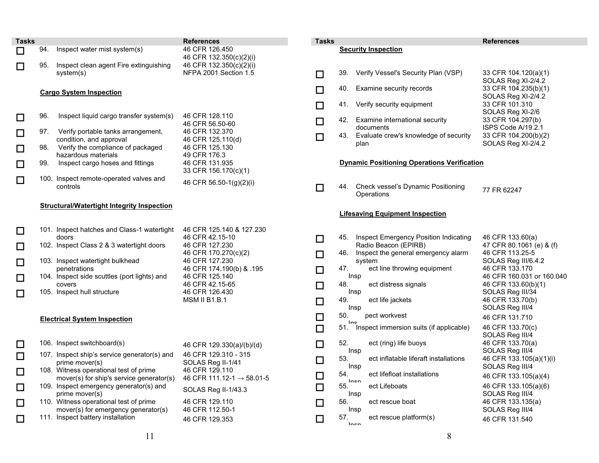| <b>Tasks</b> |     |                                                                                    | <b>References</b>                                         |
|--------------|-----|------------------------------------------------------------------------------------|-----------------------------------------------------------|
|              | 94. | Inspect water mist system(s)                                                       | 46 CFR 126.450<br>46 CFR 132.350(c)(2)(i)                 |
|              | 95. | Inspect clean agent Fire extinguishing<br>system(s)                                | 46 CFR 132.350(c)(2)(i)<br>NFPA 2001 Section 1.5          |
|              |     | <b>Cargo System Inspection</b>                                                     |                                                           |
|              | 96. | Inspect liquid cargo transfer system(s)                                            | 46 CFR 128.110<br>46 CFR 56.50-60                         |
|              | 97. | Verify portable tanks arrangement,<br>condition, and approval                      | 46 CFR 132.370<br>46 CFR 125.110(d)                       |
|              | 98. | Verify the compliance of packaged<br>hazardous materials                           | 46 CFR 125.130<br>49 CFR 176.3                            |
|              | 99. | Inspect cargo hoses and fittings                                                   | 46 CFR 131.935<br>33 CFR 156.170(c)(1)                    |
|              |     | 100. Inspect remote-operated valves and<br>controls                                | 46 CFR 56.50-1(g)(2)(i)                                   |
|              |     | <b>Structural/Watertight Integrity Inspection</b>                                  |                                                           |
|              |     | 101. Inspect hatches and Class-1 watertight                                        | 46 CFR 125.140 & 127.230                                  |
|              |     | doors<br>102. Inspect Class 2 & 3 watertight doors                                 | 46 CFR 42.15-10<br>46 CFR 127.230<br>46 CFR 170.270(c)(2) |
|              |     | 103. Inspect watertight bulkhead<br>penetrations                                   | 46 CFR 127.230<br>46 CFR 174.190(b) & .195                |
|              |     | 104. Inspect side scuttles (port lights) and<br>covers                             | 46 CFR 125.140<br>46 CFR 42.15-65                         |
|              |     | 105. Inspect hull structure                                                        | 46 CFR 126.430<br><b>MSM II B1.B.1</b>                    |
|              |     | <b>Electrical System Inspection</b>                                                |                                                           |
|              |     | 106. Inspect switchboard(s)                                                        | 46 CFR 129.330(a)/(b)/(d)                                 |
|              |     | 107. Inspect ship's service generator(s) and<br>prime mover(s)                     | 46 CFR 129.310 - 315<br>SOLAS Reg II-1/41                 |
|              |     | 108. Witness operational test of prime<br>mover(s) for ship's service generator(s) | 46 CFR 129.110<br>46 CFR 111.12-1 $\rightarrow$ 58.01-5   |
|              |     | 109. Inspect emergency generator(s) and<br>prime mover(s)                          | SOLAS Reg II-1/43.3                                       |
|              |     | 110. Witness operational test of prime<br>mover(s) for emergency generator(s)      | 46 CFR 129.110<br>46 CFR 112.50-1                         |
|              |     | 111. Inspect battery installation                                                  | 46 CFR 129.353                                            |

| Tasks  |     |                                                               | References                                   |
|--------|-----|---------------------------------------------------------------|----------------------------------------------|
|        |     | <b>Security Inspection</b>                                    |                                              |
|        |     |                                                               |                                              |
|        | 39. | Verify Vessel's Security Plan (VSP)                           | 33 CFR 104.120(a)(1)<br>SOLAS Reg XI-2/4.2   |
|        | 40. | Examine security records                                      | 33 CFR 104.235(b)(1)<br>SOLAS Reg XI-2/4.2   |
|        | 41. | Verify security equipment                                     | 33 CFR 101.310<br>SOLAS Reg XI-2/6           |
| □      | 42. | Examine international security<br>documents                   | 33 CFR 104.297(b)<br>ISPS Code A/19.2.1      |
|        | 43. | Evaluate crew's knowledge of security<br>plan                 | 33 CFR 104.200(b)(2)<br>SOLAS Reg XI-2/4.2   |
|        |     | <b>Dynamic Positioning Operations Verification</b>            |                                              |
|        | 44. | Check vessel's Dynamic Positioning<br>Operations              | 77 FR 62247                                  |
|        |     | <b>Lifesaving Equipment Inspection</b>                        |                                              |
|        | 45. | Inspect Emergency Position Indicating<br>Radio Beacon (EPIRB) | 46 CFR 133.60(a)<br>47 CFR 80.1061 (e) & (f) |
| 囗      | 46. | Inspect the general emergency alarm<br>system                 | 46 CFR 113.25-5<br>SOLAS Reg III/6.4.2       |
| $\Box$ | 47. | ect line throwing equipment<br>Insp                           | 46 CFR 133.170<br>46 CFR 160.031 or 160.040  |
| $\Box$ | 48. | ect distress signals<br>Insp                                  | 46 CFR 133.60(b)(1)<br>SOLAS Reg III/34      |
| $\Box$ | 49. | ect life jackets<br>Insp                                      | 46 CFR 133.70(b)<br>SOLAS Reg III/4          |
| $\Box$ | 50. | pect workvest                                                 | 46 CFR 131.710                               |
| $\Box$ | Inc | 51. Inspect immersion suits (if applicable)                   | 46 CFR 133.70(c)<br>SOLAS Reg III/4          |
| ◻      | 52. | ect (ring) life buoys<br>Insp                                 | 46 CFR 133.70(a)<br>SOLAS Reg III/4          |
| $\Box$ | 53. | ect inflatable liferaft installations<br>Insp                 | 46 CFR 133.105(a)(1)(i)<br>SOLAS Reg III/4   |
| $\Box$ | 54. | ect lifefloat installations                                   | 46 CFR 133.105(a)(4)                         |
|        | 55. | Inon<br>ect Lifeboats<br>Insp                                 | 46 CFR 133.105(a)(6)<br>SOLAS Reg III/4      |
|        | 56. | ect rescue boat<br>Insp                                       | 46 CFR 133.135(a)<br>SOLAS Reg III/4         |
|        | 57. | ect rescue platform(s)<br>Inen                                | 46 CFR 131.540                               |